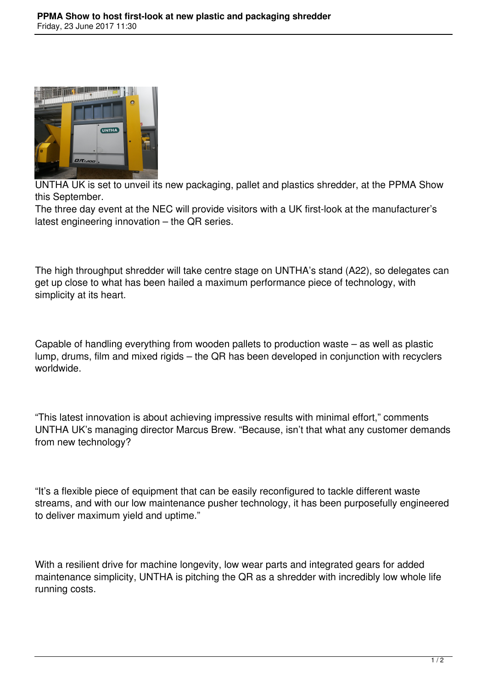

UNTHA UK is set to unveil its new packaging, pallet and plastics shredder, at the PPMA Show this September.

The three day event at the NEC will provide visitors with a UK first-look at the manufacturer's latest engineering innovation – the QR series.

The high throughput shredder will take centre stage on UNTHA's stand (A22), so delegates can get up close to what has been hailed a maximum performance piece of technology, with simplicity at its heart.

Capable of handling everything from wooden pallets to production waste – as well as plastic lump, drums, film and mixed rigids – the QR has been developed in conjunction with recyclers worldwide.

"This latest innovation is about achieving impressive results with minimal effort," comments UNTHA UK's managing director Marcus Brew. "Because, isn't that what any customer demands from new technology?

"It's a flexible piece of equipment that can be easily reconfigured to tackle different waste streams, and with our low maintenance pusher technology, it has been purposefully engineered to deliver maximum yield and uptime."

With a resilient drive for machine longevity, low wear parts and integrated gears for added maintenance simplicity, UNTHA is pitching the QR as a shredder with incredibly low whole life running costs.